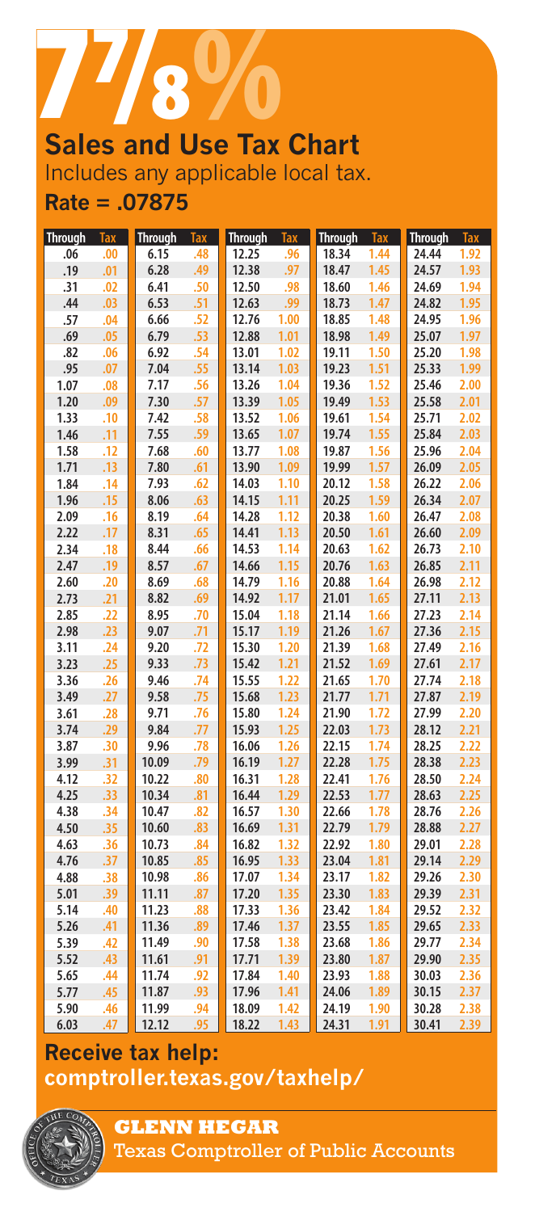

# **Sales and Use Tax Chart** Includes any applicable local tax. **Rate = .07875**

| <b>Through</b> | <b>Tax</b> | <b>Through</b> | <b>Tax</b> | <b>Through</b> | <b>Tax</b> | <b>Through</b> | <b>Tax</b> | <b>Through</b> | <b>Tax</b> |
|----------------|------------|----------------|------------|----------------|------------|----------------|------------|----------------|------------|
| .06            | .00        | 6.15           | .48        | 12.25          | .96        | 18.34          | 1.44       | 24.44          | 1.92       |
| .19            | .01        | 6.28           | .49        | 12.38          | .97        | 18.47          | 1.45       | 24.57          | 1.93       |
| .31            | .02        | 6.41           | .50        | 12.50          | .98        | 18.60          | 1.46       | 24.69          | 1.94       |
| .44            | .03        | 6.53           | .51        | 12.63          | .99        | 18.73          | 1.47       | 24.82          | 1.95       |
| .57            | .04        | 6.66           | .52        | 12.76          | 1.00       | 18.85          | 1.48       | 24.95          | 1.96       |
| .69            | .05        | 6.79           | .53        | 12.88          | 1.01       | 18.98          | 1.49       | 25.07          | 1.97       |
| .82            | .06        | 6.92           | .54        | 13.01          | 1.02       | 19.11          | 1.50       | 25.20          | 1.98       |
| .95            | .07        | 7.04           | .55        | 13.14          | 1.03       | 19.23          | 1.51       | 25.33          | 1.99       |
| 1.07           | .08        | 7.17           | .56        | 13.26          | 1.04       | 19.36          | 1.52       | 25.46          | 2.00       |
| 1.20           | .09        | 7.30           | .57        | 13.39          | 1.05       | 19.49          | 1.53       | 25.58          | 2.01       |
| 1.33           | .10        | 7.42           | .58        | 13.52          | 1.06       | 19.61          | 1.54       | 25.71          | 2.02       |
| 1.46           | .11        | 7.55           | .59        | 13.65          | 1.07       | 19.74          | 1.55       | 25.84          | 2.03       |
| 1.58           | .12        | 7.68           | .60        | 13.77          | 1.08       | 19.87          | 1.56       | 25.96          | 2.04       |
| 1.71           | .13        | 7.80           | .61        | 13.90          | 1.09       | 19.99          | 1.57       | 26.09          | 2.05       |
| 1.84           | .14        | 7.93           | .62        | 14.03          | 1.10       | 20.12          | 1.58       | 26.22          | 2.06       |
| 1.96           | .15        | 8.06           | .63        | 14.15          | 1.11       | 20.25          | 1.59       | 26.34          | 2.07       |
| 2.09           | .16        | 8.19           | .64        | 14.28          | 1.12       | 20.38          | 1.60       | 26.47          | 2.08       |
| 2.22           | .17        | 8.31           | .65        | 14.41          | 1.13       | 20.50          | 1.61       | 26.60          | 2.09       |
| 2.34           | .18        | 8.44           | .66        | 14.53          | 1.14       | 20.63          | 1.62       | 26.73          | 2.10       |
| 2.47           | .19        | 8.57           | .67        | 14.66          | 1.15       | 20.76          | 1.63       | 26.85          | 2.11       |
| 2.60           | .20        | 8.69           | .68        | 14.79          | 1.16       | 20.88          | 1.64       | 26.98          | 2.12       |
| 2.73           | .21        | 8.82           | .69        | 14.92          | 1.17       | 21.01          | 1.65       | 27.11          | 2.13       |
| 2.85           | .22        | 8.95           | .70        | 15.04          | 1.18       | 21.14          | 1.66       | 27.23          | 2.14       |
| 2.98           | .23        | 9.07           | .71        | 15.17          | 1.19       | 21.26          | 1.67       | 27.36          | 2.15       |
| 3.11           | .24        | 9.20           | .72        | 15.30          | 1.20       | 21.39          | 1.68       | 27.49          | 2.16       |
| 3.23           | .25        | 9.33           | .73        | 15.42          | 1.21       | 21.52          | 1.69       | 27.61          | 2.17       |
| 3.36           | .26        | 9.46           | .74        | 15.55          | 1.22       | 21.65          | 1.70       | 27.74          | 2.18       |
| 3.49           | .27        | 9.58           | .75        | 15.68          | 1.23       | 21.77          | 1.71       | 27.87          | 2.19       |
| 3.61           | .28        | 9.71           | .76        | 15.80          | 1.24       | 21.90          | 1.72       | 27.99          | 2.20       |
| 3.74           | .29        | 9.84           | .77        | 15.93          | 1.25       | 22.03          | 1.73       | 28.12          | 2.21       |
| 3.87           | .30        | 9.96           | .78        | 16.06          | 1.26       | 22.15          | 1.74       | 28.25          | 2.22       |
| 3.99           | .31        | 10.09          | .79        | 16.19          | 1.27       | 22.28          | 1.75       | 28.38          | 2.23       |
| 4.12           | .32        | 10.22          | .80        | 16.31          | 1.28       | 22.41          | 1.76       | 28.50          | 2.24       |
| 4.25           | .33        | 10.34          | .81        | 16.44          | 1.29       | 22.53          | 1.77       | 28.63          | 2.25       |
| 4.38           | .34        | 10.47          | .82        | 16.57          | 1.30       | 22.66          | 1.78       | 28.76          | 2.26       |
| 4.50           | .35        | 10.60          | .83        | 16.69          | 1.31       | 22.79          | 1.79       | 28.88          | 2.27       |
| 4.63           | .36        | 10.73          | .84        | 16.82          | 1.32       | 22.92          | 1.80       | 29.01          | 2.28       |
| 4.76           | .37        | 10.85          | .85        | 16.95          | 1.33       | 23.04          | 1.81       | 29.14          | 2.29       |
| 4.88           | .38        | 10.98          | .86        | 17.07          | 1.34       | 23.17          | 1.82       | 29.26          | 2.30       |
| 5.01           | .39        | 11.11          | .87        | 17.20          | 1.35       | 23.30          | 1.83       | 29.39          | 2.31       |
| 5.14           | .40        | 11.23          | .88        | 17.33          | 1.36       | 23.42          | 1.84       | 29.52          | 2.32       |
| 5.26           | .41        | 11.36          | .89        | 17.46          | 1.37       | 23.55          | 1.85       | 29.65          | 2.33       |
| 5.39           | .42        | 11.49          | .90        | 17.58          | 1.38       | 23.68          | 1.86       | 29.77          | 2.34       |
| 5.52           | .43        | 11.61          | .91        | 17.71          | 1.39       | 23.80          | 1.87       | 29.90          | 2.35       |
| 5.65           | .44        | 11.74          | .92        | 17.84          | 1.40       | 23.93          | 1.88       | 30.03          | 2.36       |
| 5.77           | .45        | 11.87          | .93        | 17.96          | 1.41       | 24.06          | 1.89       | 30.15          | 2.37       |
| 5.90           | .46        | 11.99          | .94        | 18.09          | 1.42       | 24.19          | 1.90       | 30.28          | 2.38       |
| 6.03           | .47        | 12.12          | .95        | 18.22          | 1.43       | 24.31          | 1.91       | 30.41          | 2.39       |

# **Receive tax help: [comptroller.texas.gov/taxhelp/](www.comptroller.texas.gov/taxhelp/)**



**GLENN HEGAR** 

Texas Comptroller of Public Accounts